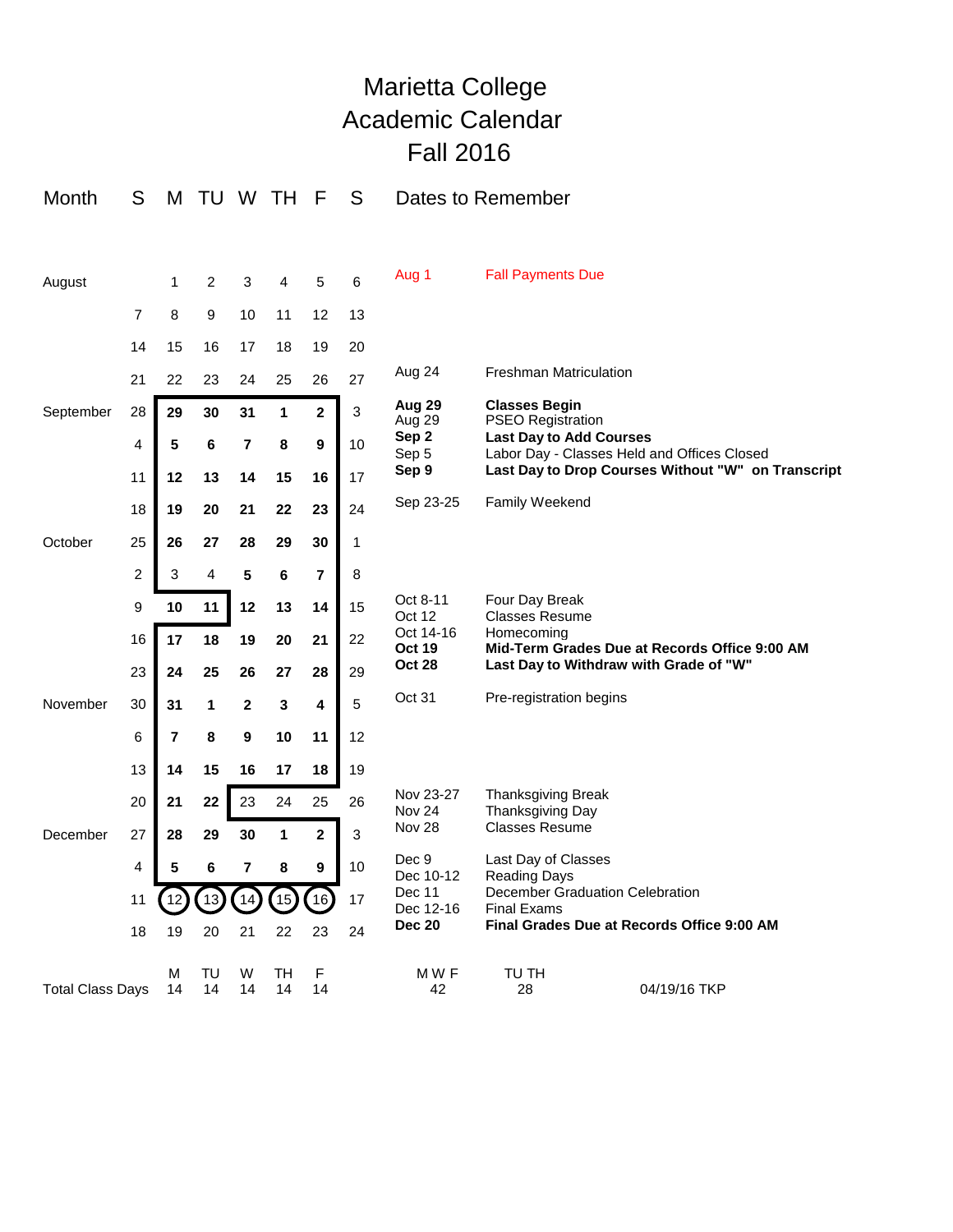## Marietta College Academic Calendar Fall 2016

| Month                   | S              | M                       | TU       |              | W TH         | F                       | S  | Dates to Remember                           |                                                                                                                                                                                         |                                            |
|-------------------------|----------------|-------------------------|----------|--------------|--------------|-------------------------|----|---------------------------------------------|-----------------------------------------------------------------------------------------------------------------------------------------------------------------------------------------|--------------------------------------------|
|                         |                |                         |          |              |              |                         |    |                                             |                                                                                                                                                                                         |                                            |
| August                  |                | 1                       | 2        | 3            | 4            | 5                       | 6  | Aug 1                                       | <b>Fall Payments Due</b>                                                                                                                                                                |                                            |
|                         | $\overline{7}$ | 8                       | 9        | 10           | 11           | 12                      | 13 |                                             |                                                                                                                                                                                         |                                            |
|                         | 14             | 15                      | 16       | 17           | 18           | 19                      | 20 |                                             |                                                                                                                                                                                         |                                            |
|                         | 21             | 22                      | 23       | 24           | 25           | 26                      | 27 | Aug 24                                      | <b>Freshman Matriculation</b>                                                                                                                                                           |                                            |
| September               | 28             | 29                      | 30       | 31           | 1            | $\mathbf{2}$            | 3  | Aug 29<br>Aug 29                            | <b>Classes Begin</b><br><b>PSEO Registration</b><br><b>Last Day to Add Courses</b><br>Labor Day - Classes Held and Offices Closed<br>Last Day to Drop Courses Without "W" on Transcript |                                            |
|                         | 4              | 5                       | 6        | 7            | 8            | 9                       | 10 | Sep 2<br>Sep 5<br>Sep 9                     |                                                                                                                                                                                         |                                            |
|                         | 11             | 12                      | 13       | 14           | 15           | 16                      | 17 |                                             |                                                                                                                                                                                         |                                            |
|                         | 18             | 19                      | 20       | 21           | 22           | 23                      | 24 | Sep 23-25                                   | Family Weekend                                                                                                                                                                          |                                            |
| October                 | 25             | 26                      | 27       | 28           | 29           | 30                      | 1  |                                             |                                                                                                                                                                                         |                                            |
|                         | 2              | 3                       | 4        | 5            | 6            | $\overline{7}$          | 8  |                                             |                                                                                                                                                                                         |                                            |
|                         | 9              | 10                      | 11       | 12           | 13           | 14                      | 15 | Oct 8-11<br>Oct 12                          | Four Day Break<br><b>Classes Resume</b>                                                                                                                                                 |                                            |
|                         | 16             | 17                      | 18       | 19           | 20           | 21                      | 22 | Oct 14-16<br><b>Oct 19</b><br><b>Oct 28</b> | Homecomina<br>Mid-Term Grades Due at Records Office 9:00 AM<br>Last Day to Withdraw with Grade of "W"                                                                                   |                                            |
|                         | 23             | 24                      | 25       | 26           | 27           | 28                      | 29 |                                             |                                                                                                                                                                                         |                                            |
| November                | 30             | 31                      | 1        | $\mathbf{2}$ | 3            | 4                       | 5  | Oct 31                                      | Pre-registration begins                                                                                                                                                                 |                                            |
|                         | 6              | $\overline{\mathbf{r}}$ | 8        | 9            | 10           | 11                      | 12 |                                             |                                                                                                                                                                                         |                                            |
|                         | 13             | 14                      | 15       | 16           | 17           | 18                      | 19 |                                             |                                                                                                                                                                                         |                                            |
|                         | 20             | 21                      | 22       | 23           | 24           | 25                      | 26 | Nov 23-27<br>Nov <sub>24</sub>              | Thanksgiving Break<br>Thanksgiving Day                                                                                                                                                  |                                            |
| December                | 27             | 28                      | 29       | 30           | $\mathbf{1}$ | $\overline{\mathbf{2}}$ | 3  | <b>Nov 28</b>                               | <b>Classes Resume</b>                                                                                                                                                                   |                                            |
|                         | 4              | 5                       | 6        | 7            | 8            | 9                       | 10 | Dec 9<br>Dec 10-12                          | Last Day of Classes<br>Reading Days                                                                                                                                                     |                                            |
|                         | 11             | 12                      | 13       | 14           | 15           | 16                      | 17 | Dec 11<br>Dec 12-16                         | December Graduation Celebration<br><b>Final Exams</b>                                                                                                                                   |                                            |
|                         | 18             | 19                      | 20       | 21           | 22           | 23                      | 24 | <b>Dec 20</b>                               |                                                                                                                                                                                         | Final Grades Due at Records Office 9:00 AM |
| <b>Total Class Days</b> |                | M<br>14                 | TU<br>14 | W<br>14      | TH<br>14     | F<br>14                 |    | MWF<br>42                                   | TU TH<br>28                                                                                                                                                                             | 04/19/16 TKP                               |